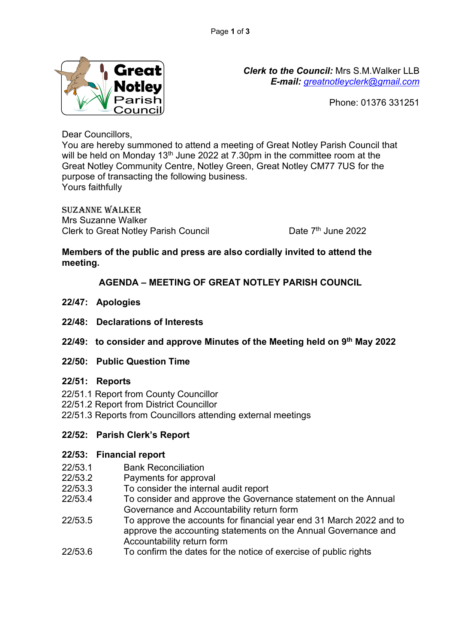

*Clerk to the Council:* Mrs S.M.Walker LLB *E-mail: [greatnotleyclerk@gmail.com](mailto:greatnotleyclerk@gmail.com)*

Phone: 01376 331251

Dear Councillors,

You are hereby summoned to attend a meeting of Great Notley Parish Council that will be held on Monday 13<sup>th</sup> June 2022 at 7.30pm in the committee room at the Great Notley Community Centre, Notley Green, Great Notley CM77 7US for the purpose of transacting the following business. Yours faithfully

Suzanne Walker Mrs Suzanne Walker Clerk to Great Notley Parish Council

Date 7<sup>th</sup> June 2022

# **Members of the public and press are also cordially invited to attend the meeting.**

**AGENDA – MEETING OF GREAT NOTLEY PARISH COUNCIL**

- **22/47: Apologies**
- **22/48: Declarations of Interests**
- **22/49: to consider and approve Minutes of the Meeting held on 9 th May 2022**
- **22/50: Public Question Time**
- **22/51: Reports**
- 22/51.1 Report from County Councillor
- 22/51.2 Report from District Councillor
- 22/51.3 Reports from Councillors attending external meetings

# **22/52: Parish Clerk's Report**

# **22/53: Financial report**

- 22/53.1 Bank Reconciliation
- 22/53.2 Payments for approval
- 22/53.3 To consider the internal audit report
- 22/53.4 To consider and approve the Governance statement on the Annual Governance and Accountability return form
- 22/53.5 To approve the accounts for financial year end 31 March 2022 and to approve the accounting statements on the Annual Governance and Accountability return form
- 22/53.6 To confirm the dates for the notice of exercise of public rights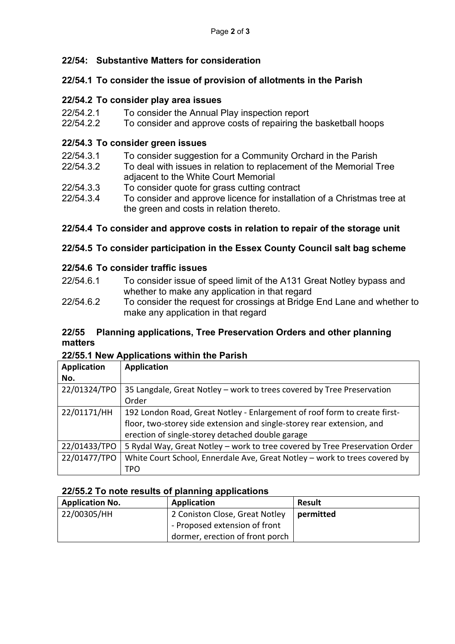# **22/54: Substantive Matters for consideration**

#### **22/54.1 To consider the issue of provision of allotments in the Parish**

#### **22/54.2 To consider play area issues**

- 22/54.2.1 To consider the Annual Play inspection report
- 22/54.2.2 To consider and approve costs of repairing the basketball hoops

## **22/54.3 To consider green issues**

- 22/54.3.1 To consider suggestion for a Community Orchard in the Parish
- 22/54.3.2 To deal with issues in relation to replacement of the Memorial Tree adjacent to the White Court Memorial
- 22/54.3.3 To consider quote for grass cutting contract
- 22/54.3.4 To consider and approve licence for installation of a Christmas tree at the green and costs in relation thereto.

## **22/54.4 To consider and approve costs in relation to repair of the storage unit**

## **22/54.5 To consider participation in the Essex County Council salt bag scheme**

#### **22/54.6 To consider traffic issues**

- 22/54.6.1 To consider issue of speed limit of the A131 Great Notley bypass and whether to make any application in that regard
- 22/54.6.2 To consider the request for crossings at Bridge End Lane and whether to make any application in that regard

#### **22/55 Planning applications, Tree Preservation Orders and other planning matters**

#### **22/55.1 New Applications within the Parish**

| <b>Application</b> | <b>Application</b>                                                          |
|--------------------|-----------------------------------------------------------------------------|
| No.                |                                                                             |
| 22/01324/TPO       | 35 Langdale, Great Notley - work to trees covered by Tree Preservation      |
|                    | Order                                                                       |
| 22/01171/HH        | 192 London Road, Great Notley - Enlargement of roof form to create first-   |
|                    | floor, two-storey side extension and single-storey rear extension, and      |
|                    | erection of single-storey detached double garage                            |
| 22/01433/TPO       | 5 Rydal Way, Great Notley - work to tree covered by Tree Preservation Order |
| 22/01477/TPO       | White Court School, Ennerdale Ave, Great Notley - work to trees covered by  |
|                    | TPO                                                                         |

#### **22/55.2 To note results of planning applications**

| <b>Application No.</b> | Application                     | <b>Result</b> |
|------------------------|---------------------------------|---------------|
| 22/00305/HH            | 2 Coniston Close, Great Notley  | permitted     |
|                        | - Proposed extension of front   |               |
|                        | dormer, erection of front porch |               |